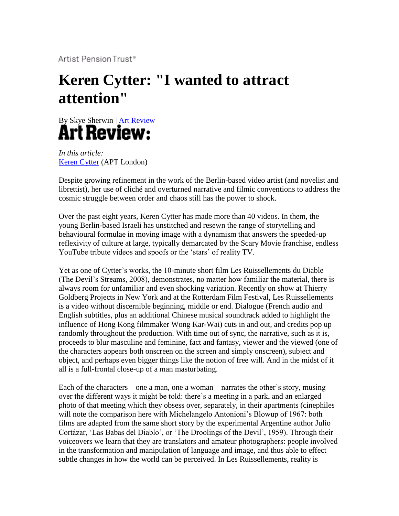Artist Pension Trust®

## **Keren Cytter: "I wanted to attract attention"**



*In this article:* [Keren Cytter](http://www.aptglobal.org/view/artist.asp?ID=2350) (APT London)

Despite growing refinement in the work of the Berlin-based video artist (and novelist and librettist), her use of cliché and overturned narrative and filmic conventions to address the cosmic struggle between order and chaos still has the power to shock.

Over the past eight years, Keren Cytter has made more than 40 videos. In them, the young Berlin-based Israeli has unstitched and resewn the range of storytelling and behavioural formulae in moving image with a dynamism that answers the speeded-up reflexivity of culture at large, typically demarcated by the Scary Movie franchise, endless YouTube tribute videos and spoofs or the 'stars' of reality TV.

Yet as one of Cytter's works, the 10-minute short film Les Ruissellements du Diable (The Devil's Streams, 2008), demonstrates, no matter how familiar the material, there is always room for unfamiliar and even shocking variation. Recently on show at Thierry Goldberg Projects in New York and at the Rotterdam Film Festival, Les Ruissellements is a video without discernible beginning, middle or end. Dialogue (French audio and English subtitles, plus an additional Chinese musical soundtrack added to highlight the influence of Hong Kong filmmaker Wong Kar-Wai) cuts in and out, and credits pop up randomly throughout the production. With time out of sync, the narrative, such as it is, proceeds to blur masculine and feminine, fact and fantasy, viewer and the viewed (one of the characters appears both onscreen on the screen and simply onscreen), subject and object, and perhaps even bigger things like the notion of free will. And in the midst of it all is a full-frontal close-up of a man masturbating.

Each of the characters – one a man, one a woman – narrates the other's story, musing over the different ways it might be told: there's a meeting in a park, and an enlarged photo of that meeting which they obsess over, separately, in their apartments (cinephiles will note the comparison here with Michelangelo Antonioni's Blowup of 1967: both films are adapted from the same short story by the experimental Argentine author Julio Cortázar, 'Las Babas del Diablo', or 'The Droolings of the Devil', 1959). Through their voiceovers we learn that they are translators and amateur photographers: people involved in the transformation and manipulation of language and image, and thus able to effect subtle changes in how the world can be perceived. In Les Ruissellements, reality is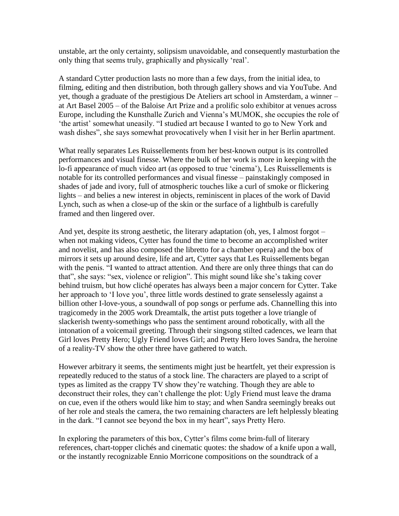unstable, art the only certainty, solipsism unavoidable, and consequently masturbation the only thing that seems truly, graphically and physically 'real'.

A standard Cytter production lasts no more than a few days, from the initial idea, to filming, editing and then distribution, both through gallery shows and via YouTube. And yet, though a graduate of the prestigious De Ateliers art school in Amsterdam, a winner – at Art Basel 2005 – of the Baloise Art Prize and a prolific solo exhibitor at venues across Europe, including the Kunsthalle Zurich and Vienna's MUMOK, she occupies the role of 'the artist' somewhat uneasily. "I studied art because I wanted to go to New York and wash dishes", she says somewhat provocatively when I visit her in her Berlin apartment.

What really separates Les Ruissellements from her best-known output is its controlled performances and visual finesse. Where the bulk of her work is more in keeping with the lo-fi appearance of much video art (as opposed to true 'cinema'), Les Ruissellements is notable for its controlled performances and visual finesse – painstakingly composed in shades of jade and ivory, full of atmospheric touches like a curl of smoke or flickering lights – and belies a new interest in objects, reminiscent in places of the work of David Lynch, such as when a close-up of the skin or the surface of a lightbulb is carefully framed and then lingered over.

And yet, despite its strong aesthetic, the literary adaptation (oh, yes, I almost forgot – when not making videos, Cytter has found the time to become an accomplished writer and novelist, and has also composed the libretto for a chamber opera) and the box of mirrors it sets up around desire, life and art, Cytter says that Les Ruissellements began with the penis. "I wanted to attract attention. And there are only three things that can do that", she says: "sex, violence or religion". This might sound like she's taking cover behind truism, but how cliché operates has always been a major concern for Cytter. Take her approach to 'I love you', three little words destined to grate senselessly against a billion other I-love-yous, a soundwall of pop songs or perfume ads. Channelling this into tragicomedy in the 2005 work Dreamtalk, the artist puts together a love triangle of slackerish twenty-somethings who pass the sentiment around robotically, with all the intonation of a voicemail greeting. Through their singsong stilted cadences, we learn that Girl loves Pretty Hero; Ugly Friend loves Girl; and Pretty Hero loves Sandra, the heroine of a reality-TV show the other three have gathered to watch.

However arbitrary it seems, the sentiments might just be heartfelt, yet their expression is repeatedly reduced to the status of a stock line. The characters are played to a script of types as limited as the crappy TV show they're watching. Though they are able to deconstruct their roles, they can't challenge the plot: Ugly Friend must leave the drama on cue, even if the others would like him to stay; and when Sandra seemingly breaks out of her role and steals the camera, the two remaining characters are left helplessly bleating in the dark. "I cannot see beyond the box in my heart", says Pretty Hero.

In exploring the parameters of this box, Cytter's films come brim-full of literary references, chart-topper clichés and cinematic quotes: the shadow of a knife upon a wall, or the instantly recognizable Ennio Morricone compositions on the soundtrack of a